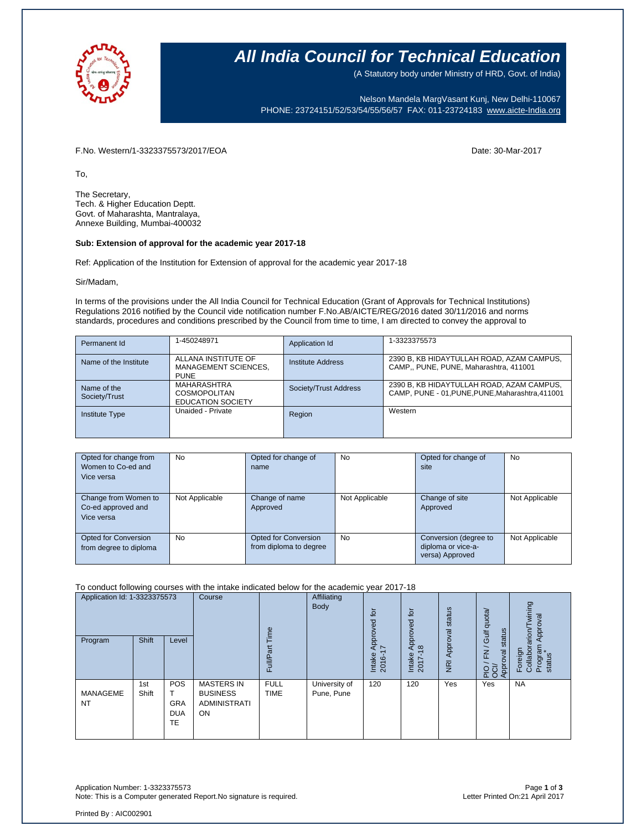

# **All India Council for Technical Education**

(A Statutory body under Ministry of HRD, Govt. of India)

Nelson Mandela MargVasant Kunj, New Delhi-110067 PHONE: 23724151/52/53/54/55/56/57 FAX: 011-23724183 [www.aicte-India.org](http://www.aicte-india.org/)

F.No. Western/1-3323375573/2017/EOA Date: 30-Mar-2017

To,

The Secretary, Tech. & Higher Education Deptt. Govt. of Maharashta, Mantralaya, Annexe Building, Mumbai-400032

#### **Sub: Extension of approval for the academic year 2017-18**

Ref: Application of the Institution for Extension of approval for the academic year 2017-18

Sir/Madam,

In terms of the provisions under the All India Council for Technical Education (Grant of Approvals for Technical Institutions) Regulations 2016 notified by the Council vide notification number F.No.AB/AICTE/REG/2016 dated 30/11/2016 and norms standards, procedures and conditions prescribed by the Council from time to time, I am directed to convey the approval to

| Permanent Id                 | 1-450248971                                                           | Application Id        | 1-3323375573                                                                                  |
|------------------------------|-----------------------------------------------------------------------|-----------------------|-----------------------------------------------------------------------------------------------|
| Name of the Institute        | ALLANA INSTITUTE OF<br>MANAGEMENT SCIENCES,<br><b>PUNE</b>            | Institute Address     | 2390 B, KB HIDAYTULLAH ROAD, AZAM CAMPUS,<br>CAMP., PUNE, PUNE, Maharashtra, 411001           |
| Name of the<br>Society/Trust | <b>MAHARASHTRA</b><br><b>COSMOPOLITAN</b><br><b>EDUCATION SOCIETY</b> | Society/Trust Address | 2390 B, KB HIDAYTULLAH ROAD, AZAM CAMPUS,<br>CAMP, PUNE - 01, PUNE, PUNE, Maharashtra, 411001 |
| <b>Institute Type</b>        | Unaided - Private                                                     | Region                | Western                                                                                       |

| Opted for change from<br>Women to Co-ed and<br>Vice versa | <b>No</b>      | Opted for change of<br>name                    | <b>No</b>      | Opted for change of<br>site                                    | No             |
|-----------------------------------------------------------|----------------|------------------------------------------------|----------------|----------------------------------------------------------------|----------------|
| Change from Women to<br>Co-ed approved and<br>Vice versa  | Not Applicable | Change of name<br>Approved                     | Not Applicable | Change of site<br>Approved                                     | Not Applicable |
| <b>Opted for Conversion</b><br>from degree to diploma     | No.            | Opted for Conversion<br>from diploma to degree | <b>No</b>      | Conversion (degree to<br>diploma or vice-a-<br>versa) Approved | Not Applicable |

To conduct following courses with the intake indicated below for the academic year 2017-18

| Application Id: 1-3323375573 |              | Course                                       | jme                                                               | Affiliating<br>Body        | tor<br>೪                    | tor<br>pproved                | status                           | Gulf quota/                | wining<br>Approval                                        |                                                     |
|------------------------------|--------------|----------------------------------------------|-------------------------------------------------------------------|----------------------------|-----------------------------|-------------------------------|----------------------------------|----------------------------|-----------------------------------------------------------|-----------------------------------------------------|
| Program                      | <b>Shift</b> | Level                                        |                                                                   | Full/Pa                    |                             | Approve<br>Intake<br>Ó<br>201 | $\infty$<br>⋖<br>Intake<br>2017- | Approval<br>$\overline{R}$ | status<br>$\overline{\phantom{0}}$<br>준<br>Approval<br>운영 | arion/<br>Program<br>status<br>Foreign<br>Collabora |
| MANAGEME<br><b>NT</b>        | 1st<br>Shift | POS<br><b>GRA</b><br><b>DUA</b><br><b>TE</b> | <b>MASTERS IN</b><br><b>BUSINESS</b><br><b>ADMINISTRATI</b><br>ON | <b>FULL</b><br><b>TIME</b> | University of<br>Pune, Pune | 120                           | 120                              | Yes                        | Yes                                                       | <b>NA</b>                                           |

Application Number: 1-3323375573 Page **1** of **3** Note: This is a Computer generated Report.No signature is required.

Printed By : AIC002901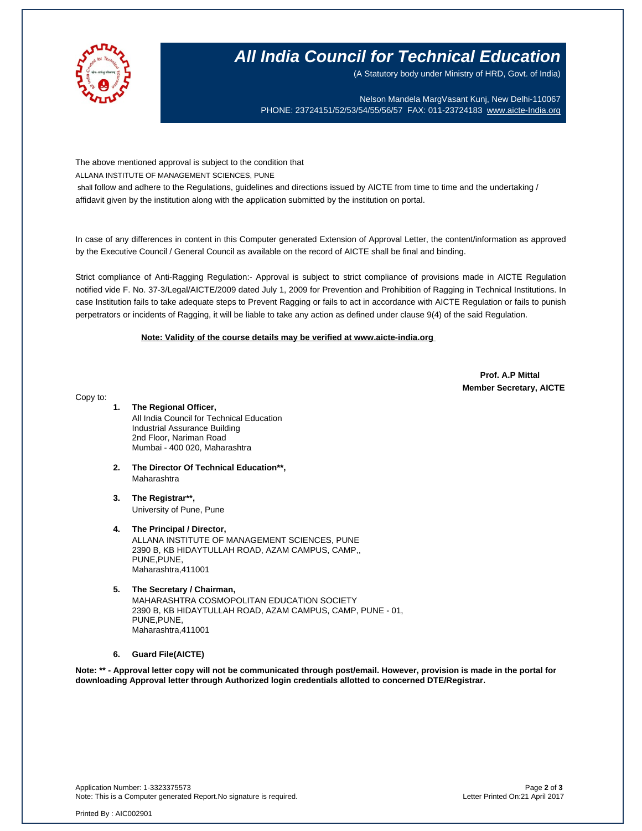

# **All India Council for Technical Education**

(A Statutory body under Ministry of HRD, Govt. of India)

Nelson Mandela MargVasant Kunj, New Delhi-110067 PHONE: 23724151/52/53/54/55/56/57 FAX: 011-23724183 [www.aicte-India.org](http://www.aicte-india.org/)

The above mentioned approval is subject to the condition that

ALLANA INSTITUTE OF MANAGEMENT SCIENCES, PUNE

shall follow and adhere to the Regulations, guidelines and directions issued by AICTE from time to time and the undertaking / affidavit given by the institution along with the application submitted by the institution on portal.

In case of any differences in content in this Computer generated Extension of Approval Letter, the content/information as approved by the Executive Council / General Council as available on the record of AICTE shall be final and binding.

Strict compliance of Anti-Ragging Regulation:- Approval is subject to strict compliance of provisions made in AICTE Regulation notified vide F. No. 37-3/Legal/AICTE/2009 dated July 1, 2009 for Prevention and Prohibition of Ragging in Technical Institutions. In case Institution fails to take adequate steps to Prevent Ragging or fails to act in accordance with AICTE Regulation or fails to punish perpetrators or incidents of Ragging, it will be liable to take any action as defined under clause 9(4) of the said Regulation.

## **Note: Validity of the course details may be verified at www.aicte-india.org**

 **Prof. A.P Mittal Member Secretary, AICTE**

Copy to:

### **1. The Regional Officer,**

All India Council for Technical Education Industrial Assurance Building 2nd Floor, Nariman Road Mumbai - 400 020, Maharashtra

- **2. The Director Of Technical Education\*\*,** Maharashtra
- **3. The Registrar\*\*,** University of Pune, Pune

**4. The Principal / Director,** ALLANA INSTITUTE OF MANAGEMENT SCIENCES, PUNE 2390 B, KB HIDAYTULLAH ROAD, AZAM CAMPUS, CAMP,, PUNE,PUNE, Maharashtra,411001

**5. The Secretary / Chairman,** MAHARASHTRA COSMOPOLITAN EDUCATION SOCIETY 2390 B, KB HIDAYTULLAH ROAD, AZAM CAMPUS, CAMP, PUNE - 01, PUNE,PUNE, Maharashtra,411001

#### **6. Guard File(AICTE)**

**Note: \*\* - Approval letter copy will not be communicated through post/email. However, provision is made in the portal for downloading Approval letter through Authorized login credentials allotted to concerned DTE/Registrar.**